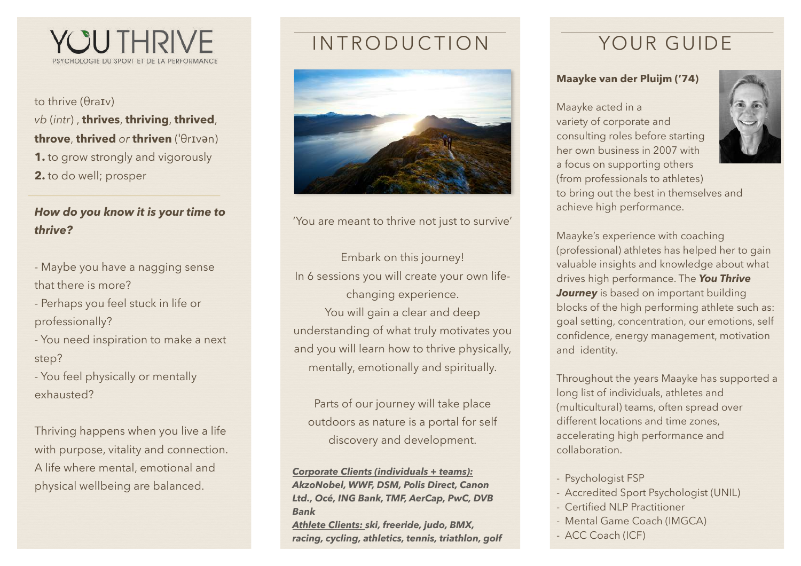

to thrive (θraɪv) *vb* (*intr*) , **thrives**, **thriving**, **thrived**, **throve**, **thrived** *or* **thriven** (ˈθrɪvən) **1.** to grow strongly and vigorously **2.** to do well; prosper

### *How do you know it is your time to thrive?*

- Maybe you have a nagging sense that there is more?
- Perhaps you feel stuck in life or professionally?
- You need inspiration to make a next step?
- You feel physically or mentally exhausted?

Thriving happens when you live a life with purpose, vitality and connection. A life where mental, emotional and physical wellbeing are balanced.

# INTRODUCTION YOUR GUIDE



'You are meant to thrive not just to survive'

Embark on this journey! In 6 sessions you will create your own lifechanging experience. You will gain a clear and deep

understanding of what truly motivates you and you will learn how to thrive physically, mentally, emotionally and spiritually.

Parts of our journey will take place outdoors as nature is a portal for self discovery and development.

*Corporate Clients (individuals + teams): AkzoNobel, WWF, DSM, Polis Direct, Canon Ltd., Océ, ING Bank, TMF, AerCap, PwC, DVB Bank* 

*Athlete Clients: ski, freeride, judo, BMX, racing, cycling, athletics, tennis, triathlon, golf*

### **Maayke van der Pluijm ('74)**

Maayke acted in a variety of corporate and consulting roles before starting her own business in 2007 with a focus on supporting others (from professionals to athletes) to bring out the best in themselves and achieve high performance.

Maayke's experience with coaching (professional) athletes has helped her to gain valuable insights and knowledge about what drives high performance. The *You Thrive*  **Journey** is based on important building blocks of the high performing athlete such as: goal setting, concentration, our emotions, self confidence, energy management, motivation and identity.

Throughout the years Maayke has supported a long list of individuals, athletes and (multicultural) teams, often spread over different locations and time zones, accelerating high performance and collaboration.

- Psychologist FSP
- Accredited Sport Psychologist (UNIL)
- Certified NLP Practitioner
- Mental Game Coach (IMGCA)
- ACC Coach (ICF)